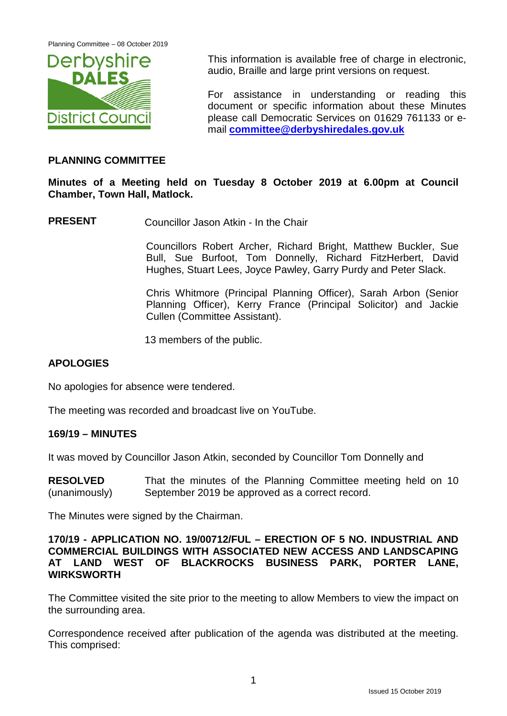Planning Committee – 08 October 2019



This information is available free of charge in electronic, audio, Braille and large print versions on request.

For assistance in understanding or reading this document or specific information about these Minutes please call Democratic Services on 01629 761133 or email **[committee@derbyshiredales.gov.uk](mailto:committee@derbyshiredales.gov.uk)**

## **PLANNING COMMITTEE**

## **Minutes of a Meeting held on Tuesday 8 October 2019 at 6.00pm at Council Chamber, Town Hall, Matlock.**

**PRESENT** Councillor Jason Atkin - In the Chair

Councillors Robert Archer, Richard Bright, Matthew Buckler, Sue Bull, Sue Burfoot, Tom Donnelly, Richard FitzHerbert, David Hughes, Stuart Lees, Joyce Pawley, Garry Purdy and Peter Slack.

Chris Whitmore (Principal Planning Officer), Sarah Arbon (Senior Planning Officer), Kerry France (Principal Solicitor) and Jackie Cullen (Committee Assistant).

13 members of the public.

## **APOLOGIES**

No apologies for absence were tendered.

The meeting was recorded and broadcast live on YouTube.

#### **169/19 – MINUTES**

It was moved by Councillor Jason Atkin, seconded by Councillor Tom Donnelly and

**RESOLVED** (unanimously) That the minutes of the Planning Committee meeting held on 10 September 2019 be approved as a correct record.

The Minutes were signed by the Chairman.

#### **170/19 - APPLICATION NO. 19/00712/FUL – ERECTION OF 5 NO. INDUSTRIAL AND COMMERCIAL BUILDINGS WITH ASSOCIATED NEW ACCESS AND LANDSCAPING AT LAND WEST OF BLACKROCKS BUSINESS PARK, PORTER LANE, WIRKSWORTH**

The Committee visited the site prior to the meeting to allow Members to view the impact on the surrounding area.

Correspondence received after publication of the agenda was distributed at the meeting. This comprised: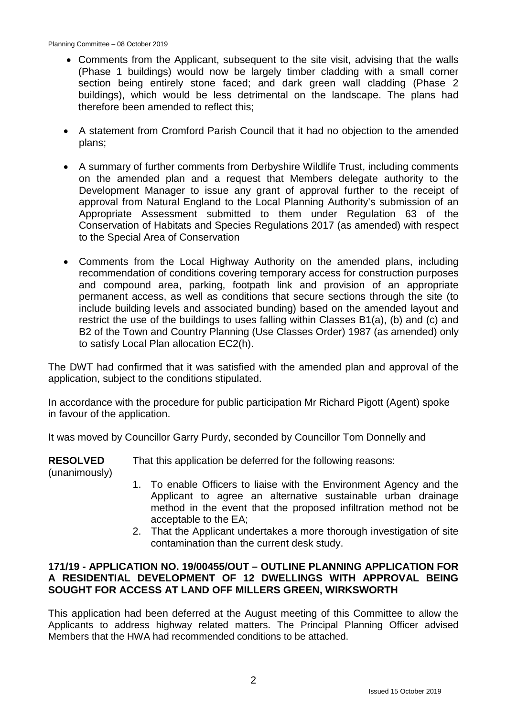- Comments from the Applicant, subsequent to the site visit, advising that the walls (Phase 1 buildings) would now be largely timber cladding with a small corner section being entirely stone faced; and dark green wall cladding (Phase 2 buildings), which would be less detrimental on the landscape. The plans had therefore been amended to reflect this;
- A statement from Cromford Parish Council that it had no objection to the amended plans;
- A summary of further comments from Derbyshire Wildlife Trust, including comments on the amended plan and a request that Members delegate authority to the Development Manager to issue any grant of approval further to the receipt of approval from Natural England to the Local Planning Authority's submission of an Appropriate Assessment submitted to them under Regulation 63 of the Conservation of Habitats and Species Regulations 2017 (as amended) with respect to the Special Area of Conservation
- Comments from the Local Highway Authority on the amended plans, including recommendation of conditions covering temporary access for construction purposes and compound area, parking, footpath link and provision of an appropriate permanent access, as well as conditions that secure sections through the site (to include building levels and associated bunding) based on the amended layout and restrict the use of the buildings to uses falling within Classes B1(a), (b) and (c) and B2 of the Town and Country Planning (Use Classes Order) 1987 (as amended) only to satisfy Local Plan allocation EC2(h).

The DWT had confirmed that it was satisfied with the amended plan and approval of the application, subject to the conditions stipulated.

In accordance with the procedure for public participation Mr Richard Pigott (Agent) spoke in favour of the application.

It was moved by Councillor Garry Purdy, seconded by Councillor Tom Donnelly and

**RESOLVED** That this application be deferred for the following reasons:

(unanimously)

- 1. To enable Officers to liaise with the Environment Agency and the Applicant to agree an alternative sustainable urban drainage method in the event that the proposed infiltration method not be acceptable to the EA;
- 2. That the Applicant undertakes a more thorough investigation of site contamination than the current desk study.

## **171/19 - APPLICATION NO. 19/00455/OUT – OUTLINE PLANNING APPLICATION FOR A RESIDENTIAL DEVELOPMENT OF 12 DWELLINGS WITH APPROVAL BEING SOUGHT FOR ACCESS AT LAND OFF MILLERS GREEN, WIRKSWORTH**

This application had been deferred at the August meeting of this Committee to allow the Applicants to address highway related matters. The Principal Planning Officer advised Members that the HWA had recommended conditions to be attached.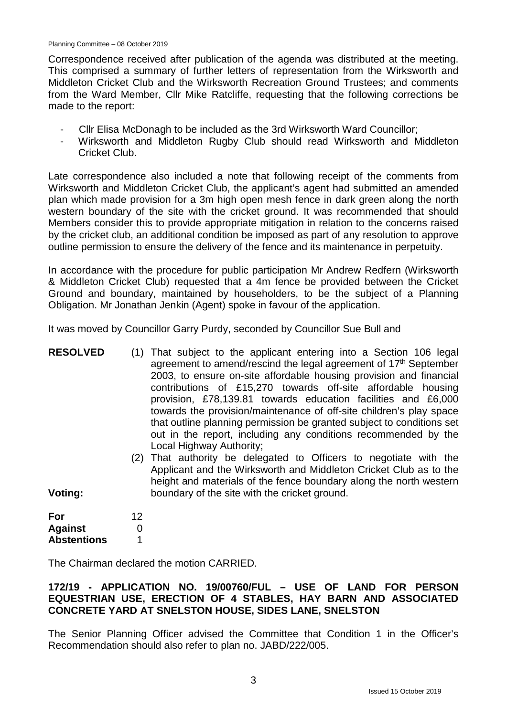Correspondence received after publication of the agenda was distributed at the meeting. This comprised a summary of further letters of representation from the Wirksworth and Middleton Cricket Club and the Wirksworth Recreation Ground Trustees; and comments from the Ward Member, Cllr Mike Ratcliffe, requesting that the following corrections be made to the report:

- Cllr Elisa McDonagh to be included as the 3rd Wirksworth Ward Councillor;
- Wirksworth and Middleton Rugby Club should read Wirksworth and Middleton Cricket Club.

Late correspondence also included a note that following receipt of the comments from Wirksworth and Middleton Cricket Club, the applicant's agent had submitted an amended plan which made provision for a 3m high open mesh fence in dark green along the north western boundary of the site with the cricket ground. It was recommended that should Members consider this to provide appropriate mitigation in relation to the concerns raised by the cricket club, an additional condition be imposed as part of any resolution to approve outline permission to ensure the delivery of the fence and its maintenance in perpetuity.

In accordance with the procedure for public participation Mr Andrew Redfern (Wirksworth & Middleton Cricket Club) requested that a 4m fence be provided between the Cricket Ground and boundary, maintained by householders, to be the subject of a Planning Obligation. Mr Jonathan Jenkin (Agent) spoke in favour of the application.

It was moved by Councillor Garry Purdy, seconded by Councillor Sue Bull and

| <b>RESOLVED</b><br>Voting: |    | (1) That subject to the applicant entering into a Section 106 legal<br>agreement to amend/rescind the legal agreement of 17 <sup>th</sup> September<br>2003, to ensure on-site affordable housing provision and financial<br>contributions of £15,270 towards off-site affordable housing<br>provision, £78,139.81 towards education facilities and £6,000<br>towards the provision/maintenance of off-site children's play space<br>that outline planning permission be granted subject to conditions set<br>out in the report, including any conditions recommended by the<br>Local Highway Authority;<br>(2) That authority be delegated to Officers to negotiate with the<br>Applicant and the Wirksworth and Middleton Cricket Club as to the<br>height and materials of the fence boundary along the north western<br>boundary of the site with the cricket ground. |
|----------------------------|----|---------------------------------------------------------------------------------------------------------------------------------------------------------------------------------------------------------------------------------------------------------------------------------------------------------------------------------------------------------------------------------------------------------------------------------------------------------------------------------------------------------------------------------------------------------------------------------------------------------------------------------------------------------------------------------------------------------------------------------------------------------------------------------------------------------------------------------------------------------------------------|
| For                        | 12 |                                                                                                                                                                                                                                                                                                                                                                                                                                                                                                                                                                                                                                                                                                                                                                                                                                                                           |

The Chairman declared the motion CARRIED.

 $\Omega$ 1

**Against Abstentions**

# **172/19 - APPLICATION NO. 19/00760/FUL – USE OF LAND FOR PERSON EQUESTRIAN USE, ERECTION OF 4 STABLES, HAY BARN AND ASSOCIATED CONCRETE YARD AT SNELSTON HOUSE, SIDES LANE, SNELSTON**

The Senior Planning Officer advised the Committee that Condition 1 in the Officer's Recommendation should also refer to plan no. JABD/222/005.